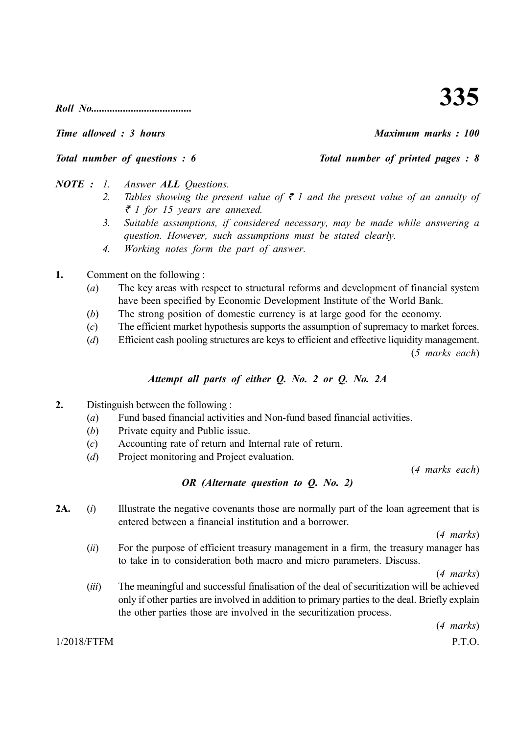*Roll No......................................*

*Time allowed : 3 hours Maximum marks : 100*

*Total number of questions : 6* Total number of printed pages : 8

- *NOTE : 1. Answer ALL Questions.*
	- 2. Tables showing the present value of  $\bar{\tau}$  1 and the present value of an annuity of ` *1 for 15 years are annexed.*
	- *3. Suitable assumptions, if considered necessary, may be made while answering a question. However, such assumptions must be stated clearly.*
	- *4. Working notes form the part of answer.*
- **1.** Comment on the following :
	- (*a*) The key areas with respect to structural reforms and development of financial system have been specified by Economic Development Institute of the World Bank.
	- (*b*) The strong position of domestic currency is at large good for the economy.
	- (*c*) The efficient market hypothesis supports the assumption of supremacy to market forces.
	- (*d*) Efficient cash pooling structures are keys to efficient and effective liquidity management.

(*5 marks each*)

### *Attempt all parts of either Q. No. 2 or Q. No. 2A*

- **2.** Distinguish between the following :
	- (*a*) Fund based financial activities and Non-fund based financial activities.
	- (*b*) Private equity and Public issue.
	- (*c*) Accounting rate of return and Internal rate of return.
	- (*d*) Project monitoring and Project evaluation.

(*4 marks each*)

## *OR (Alternate question to Q. No. 2)*

2A. (*i*) Illustrate the negative covenants those are normally part of the loan agreement that is entered between a financial institution and a borrower.

(*4 marks*)

(*ii*) For the purpose of efficient treasury management in a firm, the treasury manager has to take in to consideration both macro and micro parameters. Discuss.

(*4 marks*)

(*iii*) The meaningful and successful finalisation of the deal of securitization will be achieved only if other parties are involved in addition to primary parties to the deal. Briefly explain the other parties those are involved in the securitization process.

(*4 marks*)

### 1/2018/FTFM P.T.O.

# **335**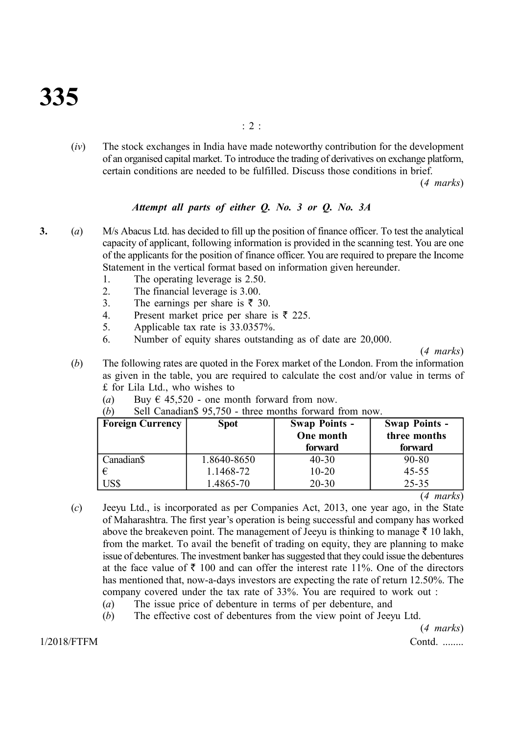(*iv*) The stock exchanges in India have made noteworthy contribution for the development of an organised capital market. To introduce the trading of derivatives on exchange platform, certain conditions are needed to be fulfilled. Discuss those conditions in brief.

(*4 marks*)

### *Attempt all parts of either Q. No. 3 or Q. No. 3A*

- **3.** (*a*) M/s Abacus Ltd. has decided to fill up the position of finance officer. To test the analytical capacity of applicant, following information is provided in the scanning test. You are one of the applicants for the position of finance officer. You are required to prepare the Income Statement in the vertical format based on information given hereunder.
	- 1. The operating leverage is 2.50.
	- 2. The financial leverage is 3.00.
	- 3. The earnings per share is  $\bar{\tau}$  30.
	- 4. Present market price per share is  $\bar{\tau}$  225.
	- 5. Applicable tax rate is 33.0357%.
	- 6. Number of equity shares outstanding as of date are 20,000.

(*4 marks*)

- (*b*) The following rates are quoted in the Forex market of the London. From the information as given in the table, you are required to calculate the cost and/or value in terms of £ for Lila Ltd., who wishes to
	- (*a*) Buy  $\epsilon$  45,520 one month forward from now.

| (b) | Sell Canadian \$95,750 - three months forward from now. |  |  |  |  |  |
|-----|---------------------------------------------------------|--|--|--|--|--|
|-----|---------------------------------------------------------|--|--|--|--|--|

| <b>Foreign Currency</b> | <b>Spot</b> | <b>Swap Points -</b><br>One month<br>forward | <b>Swap Points -</b><br>three months<br>forward |
|-------------------------|-------------|----------------------------------------------|-------------------------------------------------|
| Canadian\$              | 1.8640-8650 | $40 - 30$                                    | 90-80                                           |
| €                       | 1.1468-72   | $10 - 20$                                    | $45 - 55$                                       |
| <b>JS\$</b>             | 1.4865-70   | $20 - 30$                                    | $25 - 35$                                       |

(*4 marks*)

- (*c*) Jeeyu Ltd., is incorporated as per Companies Act, 2013, one year ago, in the State of Maharashtra. The first year's operation is being successful and company has worked above the breakeven point. The management of Jeeyu is thinking to manage  $\bar{\tau}$  10 lakh, from the market. To avail the benefit of trading on equity, they are planning to make issue of debentures. The investment banker has suggested that they could issue the debentures at the face value of  $\bar{\tau}$  100 and can offer the interest rate 11%. One of the directors has mentioned that, now-a-days investors are expecting the rate of return 12.50%. The company covered under the tax rate of 33%. You are required to work out :
	- (*a*) The issue price of debenture in terms of per debenture, and
	- (*b*) The effective cost of debentures from the view point of Jeeyu Ltd.

1/2018/FTFM Contd. ........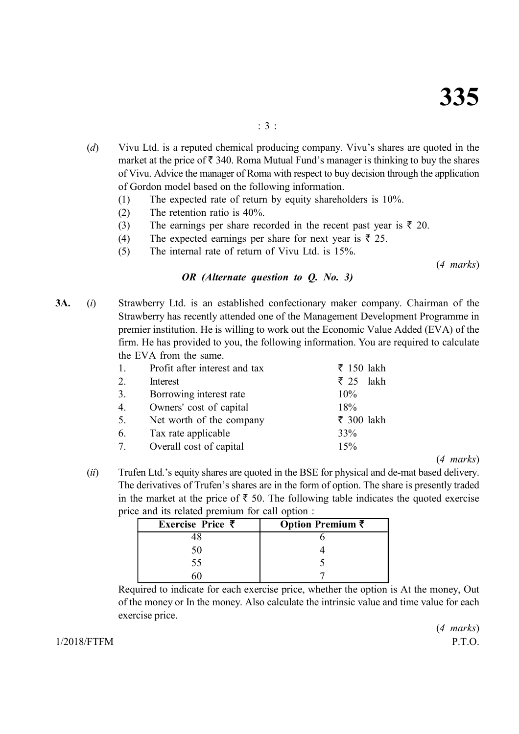- (*d*) Vivu Ltd. is a reputed chemical producing company. Vivu's shares are quoted in the market at the price of  $\bar{\tau}$  340. Roma Mutual Fund's manager is thinking to buy the shares of Vivu. Advice the manager of Roma with respect to buy decision through the application of Gordon model based on the following information.
	- (1) The expected rate of return by equity shareholders is 10%.
	- (2) The retention ratio is 40%.
	- (3) The earnings per share recorded in the recent past year is  $\bar{\tau}$  20.
	- (4) The expected earnings per share for next year is  $\bar{\tau}$  25.
	- (5) The internal rate of return of Vivu Ltd. is 15%.

(*4 marks*)

#### *OR (Alternate question to Q. No. 3)*

**3A.** (*i*) Strawberry Ltd. is an established confectionary maker company. Chairman of the Strawberry has recently attended one of the Management Development Programme in premier institution. He is willing to work out the Economic Value Added (EVA) of the firm. He has provided to you, the following information. You are required to calculate the EVA from the same.

| 1. | Profit after interest and tax | $\overline{\xi}$ 150 lakh |
|----|-------------------------------|---------------------------|
| 2. | Interest                      | lakh<br>₹ 25              |
| 3. | Borrowing interest rate       | 10%                       |
| 4. | Owners' cost of capital       | 18%                       |
| 5. | Net worth of the company      | ₹ 300 lakh                |
| 6. | Tax rate applicable           | 33%                       |
| 7. | Overall cost of capital       | 15%                       |
|    |                               |                           |

(*4 marks*)

(*ii*) Trufen Ltd.'s equity shares are quoted in the BSE for physical and de-mat based delivery. The derivatives of Trufen's shares are in the form of option. The share is presently traded in the market at the price of  $\bar{\tau}$  50. The following table indicates the quoted exercise price and its related premium for call option :

| Exercise Price ₹ | Option Premium ₹ |
|------------------|------------------|
|                  |                  |
|                  |                  |
| 55               |                  |
|                  |                  |

Required to indicate for each exercise price, whether the option is At the money, Out of the money or In the money. Also calculate the intrinsic value and time value for each exercise price.

1/2018/FTFM P.T.O.

(*4 marks*)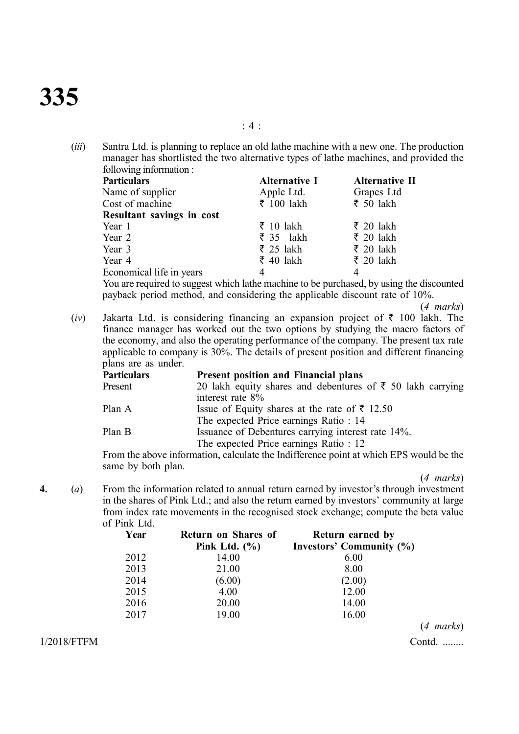# **335**

(*iii*) Santra Ltd. is planning to replace an old lathe machine with a new one. The production manager has shortlisted the two alternative types of lathe machines, and provided the following information :

| <b>Particulars</b>        | <b>Alternative I</b>     | Alternative II |
|---------------------------|--------------------------|----------------|
| Name of supplier          | Apple Ltd.               | Grapes Ltd     |
| Cost of machine           | ₹ 100 lakh               | ₹ 50 lakh      |
| Resultant savings in cost |                          |                |
| Year 1                    | $\overline{\xi}$ 10 lakh | ₹ 20 lakh      |
| Year 2                    | $\overline{\xi}$ 35 lakh | ₹ 20 lakh      |
| Year 3                    | ₹ 25 lakh                | ₹ 20 lakh      |
| Year 4                    | $\overline{\xi}$ 40 lakh | ₹ 20 lakh      |
| Economical life in years  |                          | 4              |

You are required to suggest which lathe machine to be purchased, by using the discounted payback period method, and considering the applicable discount rate of 10%.

(*4 marks*)

(*iv*) Jakarta Ltd. is considering financing an expansion project of  $\bar{\tau}$  100 lakh. The finance manager has worked out the two options by studying the macro factors of the economy, and also the operating performance of the company. The present tax rate applicable to company is 30%. The details of present position and different financing plans are as under.

| <b>Particulars</b> | <b>Present position and Financial plans</b>                                            |
|--------------------|----------------------------------------------------------------------------------------|
| Present            | 20 lakh equity shares and debentures of ₹ 50 lakh carrying                             |
|                    | interest rate 8%                                                                       |
| Plan A             | Issue of Equity shares at the rate of ₹ 12.50                                          |
|                    | The expected Price earnings Ratio : 14                                                 |
| Plan B             | Issuance of Debentures carrying interest rate 14%.                                     |
|                    | The expected Price earnings Ratio : 12                                                 |
|                    | From the above information, calculate the Indifference point at which FPS would be the |

From the above information, calculate the Indifference point at which EPS would be the same by both plan.

(*4 marks*)

**4.** (*a*) From the information related to annual return earned by investor's through investment in the shares of Pink Ltd.; and also the return earned by investors' community at large from index rate movements in the recognised stock exchange; compute the beta value of Pink Ltd.

| Year | Return on Shares of | <b>Return earned by</b>  |
|------|---------------------|--------------------------|
|      | Pink Ltd. $(\% )$   | Investors' Community (%) |
| 2012 | 14.00               | 6.00                     |
| 2013 | 21.00               | 8.00                     |
| 2014 | (6.00)              | (2.00)                   |
| 2015 | 4.00                | 12.00                    |
| 2016 | 20.00               | 14.00                    |
| 2017 | 19.00               | 16.00                    |
|      |                     |                          |

1/2018/FTFM Contd. ........

(*4 marks*)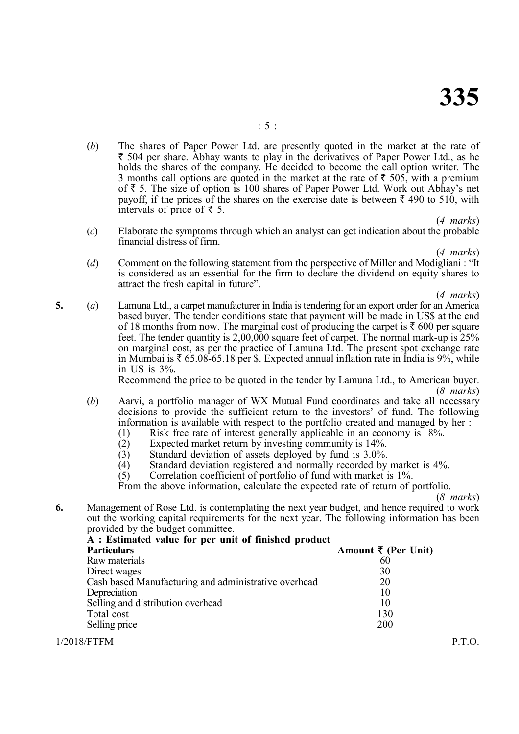(*b*) The shares of Paper Power Ltd. are presently quoted in the market at the rate of  $\bar{\tau}$  504 per share. Abhay wants to play in the derivatives of Paper Power Ltd., as he holds the shares of the company. He decided to become the call option writer. The 3 months call options are quoted in the market at the rate of  $\bar{\tau}$  505, with a premium of  $\bar{\tau}$  5. The size of option is 100 shares of Paper Power Ltd. Work out Abhay's net payoff, if the prices of the shares on the exercise date is between  $\bar{\tau}$  490 to 510, with intervals of price of  $\bar{z}$  5.

(*4 marks*)

(*c*) Elaborate the symptoms through which an analyst can get indication about the probable financial distress of firm.

(*4 marks*)

(*d*) Comment on the following statement from the perspective of Miller and Modigliani : "It is considered as an essential for the firm to declare the dividend on equity shares to attract the fresh capital in future".

(*4 marks*)

**5.** (*a*) Lamuna Ltd., a carpet manufacturer in India is tendering for an export order for an America based buyer. The tender conditions state that payment will be made in US\$ at the end of 18 months from now. The marginal cost of producing the carpet is  $\bar{\tau}$  600 per square feet. The tender quantity is 2,00,000 square feet of carpet. The normal mark-up is 25% on marginal cost, as per the practice of Lamuna Ltd. The present spot exchange rate in Mumbai is  $\bar{\tau}$  65.08-65.18 per \$. Expected annual inflation rate in India is 9%, while in US is 3%.

Recommend the price to be quoted in the tender by Lamuna Ltd., to American buyer. (*8 marks*)

- (*b*) Aarvi, a portfolio manager of WX Mutual Fund coordinates and take all necessary decisions to provide the sufficient return to the investors' of fund. The following information is available with respect to the portfolio created and managed by her :
	- (1) Risk free rate of interest generally applicable in an economy is  $8\%$ .<br>(2) Expected market return by investing community is  $14\%$ .
	- Expected market return by investing community is 14%.
	-
	- (3) Standard deviation of assets deployed by fund is 3.0%.<br>
	(4) Standard deviation registered and normally recorded by
	- (4) Standard deviation registered and normally recorded by market is  $4\%$ .<br>(5) Correlation coefficient of portfolio of fund with market is  $1\%$ . Correlation coefficient of portfolio of fund with market is 1%.

From the above information, calculate the expected rate of return of portfolio.

(*8 marks*)

**6.** Management of Rose Ltd. is contemplating the next year budget, and hence required to work out the working capital requirements for the next year. The following information has been provided by the budget committee.

| A : Estimated value for per unit of finished product<br><b>Particulars</b> | Amount $\bar{\tau}$ (Per Unit) |  |
|----------------------------------------------------------------------------|--------------------------------|--|
| Raw materials                                                              | 60                             |  |
| Direct wages                                                               | 30                             |  |
| Cash based Manufacturing and administrative overhead                       | 20                             |  |
| Depreciation                                                               | 10                             |  |
| Selling and distribution overhead                                          | 10                             |  |
| Total cost                                                                 | 130                            |  |
| Selling price                                                              | 200                            |  |
| 1/2018/FTFM                                                                |                                |  |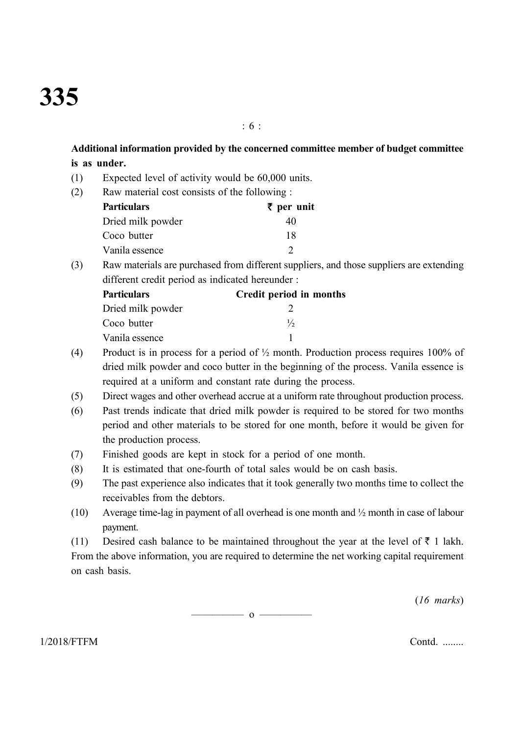**Additional information provided by the concerned committee member of budget committee is as under.**

: 6 :

- (1) Expected level of activity would be 60,000 units.
- (2) Raw material cost consists of the following :

| <b>Particulars</b> | $\bar{\tau}$ per unit |
|--------------------|-----------------------|
| Dried milk powder  | 40                    |
| Coco butter        | 18                    |
| Vanila essence     |                       |

(3) Raw materials are purchased from different suppliers, and those suppliers are extending different credit period as indicated hereunder :

| <b>Particulars</b> | Credit period in months |
|--------------------|-------------------------|
| Dried milk powder  |                         |
| Coco butter        | $\frac{1}{2}$           |
| Vanila essence     |                         |

- (4) Product is in process for a period of  $\frac{1}{2}$  month. Production process requires 100% of dried milk powder and coco butter in the beginning of the process. Vanila essence is required at a uniform and constant rate during the process.
- (5) Direct wages and other overhead accrue at a uniform rate throughout production process.
- (6) Past trends indicate that dried milk powder is required to be stored for two months period and other materials to be stored for one month, before it would be given for the production process.
- (7) Finished goods are kept in stock for a period of one month.
- (8) It is estimated that one-fourth of total sales would be on cash basis.
- (9) The past experience also indicates that it took generally two months time to collect the receivables from the debtors.
- (10) Average time-lag in payment of all overhead is one month and ½ month in case of labour payment.

(11) Desired cash balance to be maintained throughout the year at the level of  $\bar{\tau}$  1 lakh. From the above information, you are required to determine the net working capital requirement on cash basis.

(*16 marks*)

 $\overline{\phantom{0}}$  0  $\overline{\phantom{0}}$ 

1/2018/FTFM Contd. ........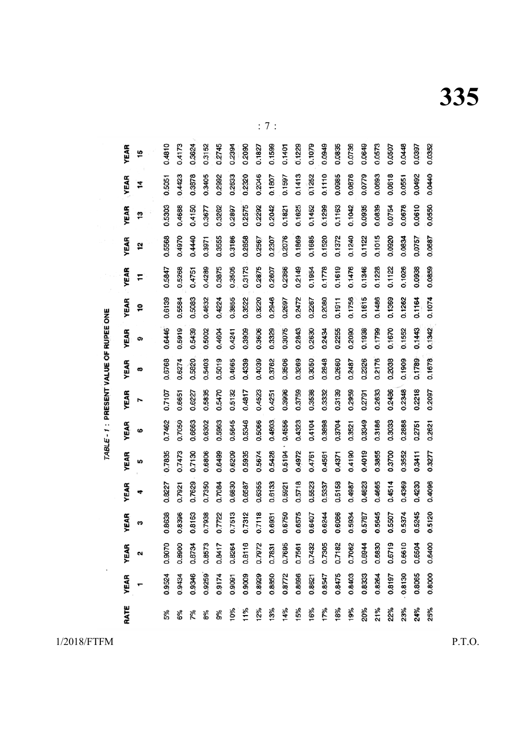**335**

| RATE | <b>YEAR</b> | <b>YEAR</b> | <b>YEAR</b> | <b>YEAR</b> | <b>YEAR</b> | YEAR   | YEAR   | YEAR   | YEAR   | YEAR   | YEAR   | <b>YEAR</b> | YEAR   | YEAR   | <b>YEAR</b> |
|------|-------------|-------------|-------------|-------------|-------------|--------|--------|--------|--------|--------|--------|-------------|--------|--------|-------------|
|      |             | ົ           | m           | 4           | <b>SC</b>   | ဖ      | Z      | œ      | თ      | ë      | F      | 12          | 13     | 14     | 16          |
|      |             |             |             |             |             |        |        |        |        |        |        |             |        |        |             |
| 5%   | 0.9524      | 0.9070      | 0.8638      | 0.8227      | 0.7835      | 0.7462 | 0.7107 | 0.6768 | 0.6446 | 0.6139 | 0.5847 | 0.5568      | 0.5303 | 0.5051 | 0.4810      |
| 6%   | 0.9434      | 0.8900      | 0.8396      | 0.7921      | 0.7473      | 0.7050 | 0.6651 | 0.6274 | 0.5919 | 0.5584 | 0.5268 | 0.4970      | 0.4688 | 0.4423 | 0.4173      |
| 7%   | 0.9346      | 0.8734      | 0.8163      | 0.7629      | 0.7130      | 0.6663 | 0.6227 | 0.5820 | 0.5439 | 0.5083 | 0.4751 | 0.4440      | 0.4150 | 0.3878 | 0.3624      |
| 8%   | 0.9259      | 0.8573      | 0.7938      | 0.7350      | 0.6806      | 0.6302 | 0.5835 | 0.5403 | 0.5002 | 0.4632 | 0.4289 | 0.3971      | 0.3677 | 0.3405 | 0.3152      |
| 9%   | 0.9174      | 0.8417      | 0.7722      | 0.7084      | 0.6499      | 0.5963 | 0.5470 | 0.5019 | 0.4604 | 0.4224 | 0.3875 | 0.3555      | 0.3262 | 0.2992 | 0.2745      |
| 10%  | 0.9091      | 0.8264      | 0.7513      | 0.6830      | 0.6209      | 0.5645 | 0.5132 | 0.4665 | 0.4241 | 0.3855 | 0.3505 | 0.3186      | 0.2897 | 0.2633 | 0.2394      |
| 11%  | 0.9009      | 0.8116      | 0.7312      | 0.6587      | 0.5935      | 0.5346 | 0.4817 | 0.4339 | 0.3909 | 0.3522 | 0.3173 | 0.2858      | 0.2575 | 0.2320 | 0.2090      |
| 12%  | 0.8929      | 0.7972      | 0.7118      | 0.6355      | 0.5674      | 0.5066 | 0.4523 | 0.4039 | 0.3606 | 0.3220 | 0.2875 | 0.2567      | 0.2292 | 0.2046 | 0.1827      |
| 13%  | 0.8850      | 0.7831      | 0.6931      | 0.6133      | 0.5428      | 0.4803 | 0.4251 | 0.3762 | 0.3329 | 0.2946 | 0.2607 | 0.2307      | 0.2042 | 0.1807 | 0.1599      |
| 14%  | 0.8772      | 0.7695      | 0.6750      | 0.5921      | $0.5194 -$  | 0.4556 | 0.3996 | 0.3506 | 0.3075 | 0.2697 | 0.2366 | 0.2076      | 0.1821 | 0.1597 | 0.1401      |
| 15%  | 0.8696      | 0.7561      | 0.6575      | 0.5718      | 0.4972      | 0.4323 | 0.3759 | 0.3269 | 0.2843 | 0.2472 | 0.2149 | 0.1869      | 0.1625 | 0.1413 | 0.1229      |
| 16%  | 0.8621      | 0.7432      | 0.6407      | 0.5523      | 0.4761      | 0.4104 | 0.3538 | 0.3050 | 0.2630 | 0.2267 | 0.1954 | 0.1685      | 0.1452 | 0.1252 | 0.1079      |
| 17%  | 0.8547      | 0.7305      | 0.6244      | 0.5337      | 0.4561      | 0.3898 | 0.3332 | 0.2848 | 0.2434 | 0.2080 | 0.1778 | 0.1520      | 0.1299 | 0.1110 | 0.0949      |
| 18%  | 0.8475      | 0.7182      | 0.6086      | 0.5158      | 0.4371      | 0.3704 | 0.3139 | 0.2660 | 0.2255 | 0.1911 | 0.1619 | 0.1372      | 0.1163 | 0.0985 | 0.0835      |
| 19%  | 0.8403      | 0.7062      | 0.5934      | 0.4987      | 0.4190      | 0.3521 | 0.2959 | 0.2487 | 0.2090 | 0.1756 | 0.1476 | 0.1240      | 0.1042 | 0.0876 | 0.0736      |
| 20%  | 0.8333      | 0.6944      | 0.5787      | 0.4823      | 0.4019      | 0.3349 | 0.2791 | 0.2326 | 0.1938 | 0.1615 | 0.1346 | 0.1122      | 0.0935 | 0.0779 | 0.0649      |
| 21%  | 0.8264      | 0.6830      | 0.5645      | 0.4665      | 0.3855      | 0.3186 | 0.2633 | 0.2176 | 0.1799 | 0.1486 | 0.1228 | 0.1015      | 0.0839 | 0.0693 | 0.0573      |
| 22%  | 0.8197      | 0.6719      | 0.5507      | 0.4514      | 0.3700      | 0.3033 | 0.2486 | 0.2038 | 0.1670 | 0.1369 | 0.1122 | 0.0920      | 0.0754 | 0.0618 | 0.0507      |
| 23%  | 0.8130      | 0.6610      | 0.5374      | 0.4369      | 0.3552      | 0.2888 | 0.2348 | 0.1909 | 0.1552 | 0.1262 | 0.1026 | 0.0834      | 0.0678 | 0.0551 | 0.0448      |
| 24%  | 0.8065      | 0.6504      | 0.5245      | 0.4230      | 0.3411      | 0.2751 | 0.2218 | 0.1789 | 0.1443 | 0.1164 | 0.0938 | 0.0757      | 0.0610 | 0.0492 | 0.0397      |
| 25%  | 0.8000      | 0.6400      | 0.5120      | 0.4096      | 0.3277      | 0.2621 | 0.2097 | 0.1678 | 0.1342 | 0.1074 | 0.0859 | 0.0687      | 0.0550 | 0.0440 | 0.0352      |

: 7 :

TABLE - 1 : PRESENT VALUE OF RUPEE ONE

1/2018/FTFM P.T.O.